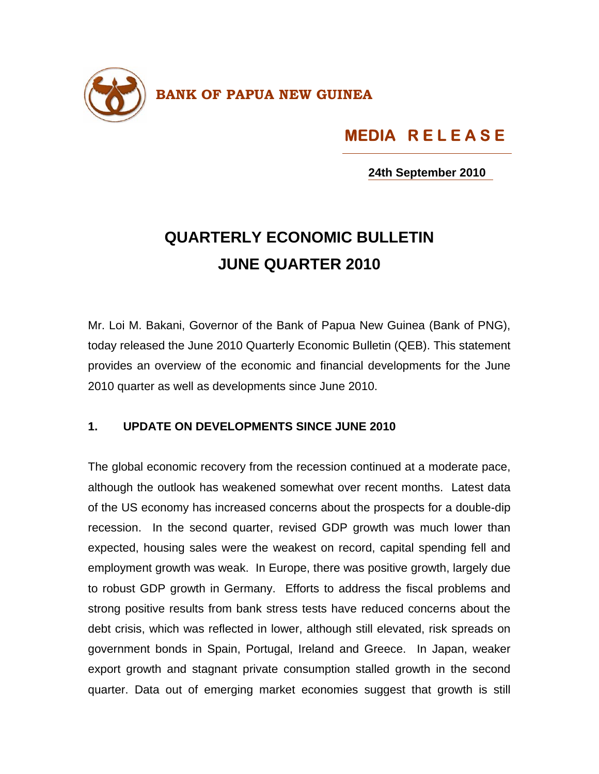

## **MEDIA R E L E A S E**

**24th September 2010**

## **QUARTERLY ECONOMIC BULLETIN JUNE QUARTER 2010**

Mr. Loi M. Bakani, Governor of the Bank of Papua New Guinea (Bank of PNG), today released the June 2010 Quarterly Economic Bulletin (QEB). This statement provides an overview of the economic and financial developments for the June 2010 quarter as well as developments since June 2010.

## **1. UPDATE ON DEVELOPMENTS SINCE JUNE 2010**

The global economic recovery from the recession continued at a moderate pace, although the outlook has weakened somewhat over recent months. Latest data of the US economy has increased concerns about the prospects for a double-dip recession. In the second quarter, revised GDP growth was much lower than expected, housing sales were the weakest on record, capital spending fell and employment growth was weak. In Europe, there was positive growth, largely due to robust GDP growth in Germany. Efforts to address the fiscal problems and strong positive results from bank stress tests have reduced concerns about the debt crisis, which was reflected in lower, although still elevated, risk spreads on government bonds in Spain, Portugal, Ireland and Greece. In Japan, weaker export growth and stagnant private consumption stalled growth in the second quarter. Data out of emerging market economies suggest that growth is still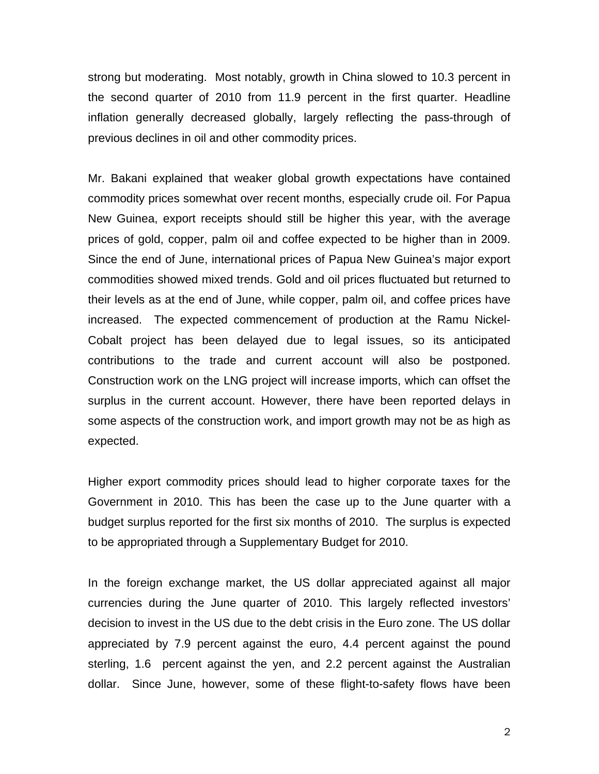strong but moderating. Most notably, growth in China slowed to 10.3 percent in the second quarter of 2010 from 11.9 percent in the first quarter. Headline inflation generally decreased globally, largely reflecting the pass-through of previous declines in oil and other commodity prices.

Mr. Bakani explained that weaker global growth expectations have contained commodity prices somewhat over recent months, especially crude oil. For Papua New Guinea, export receipts should still be higher this year, with the average prices of gold, copper, palm oil and coffee expected to be higher than in 2009. Since the end of June, international prices of Papua New Guinea's major export commodities showed mixed trends. Gold and oil prices fluctuated but returned to their levels as at the end of June, while copper, palm oil, and coffee prices have increased. The expected commencement of production at the Ramu Nickel-Cobalt project has been delayed due to legal issues, so its anticipated contributions to the trade and current account will also be postponed. Construction work on the LNG project will increase imports, which can offset the surplus in the current account. However, there have been reported delays in some aspects of the construction work, and import growth may not be as high as expected.

Higher export commodity prices should lead to higher corporate taxes for the Government in 2010. This has been the case up to the June quarter with a budget surplus reported for the first six months of 2010. The surplus is expected to be appropriated through a Supplementary Budget for 2010.

In the foreign exchange market, the US dollar appreciated against all major currencies during the June quarter of 2010. This largely reflected investors' decision to invest in the US due to the debt crisis in the Euro zone. The US dollar appreciated by 7.9 percent against the euro, 4.4 percent against the pound sterling, 1.6 percent against the yen, and 2.2 percent against the Australian dollar. Since June, however, some of these flight-to-safety flows have been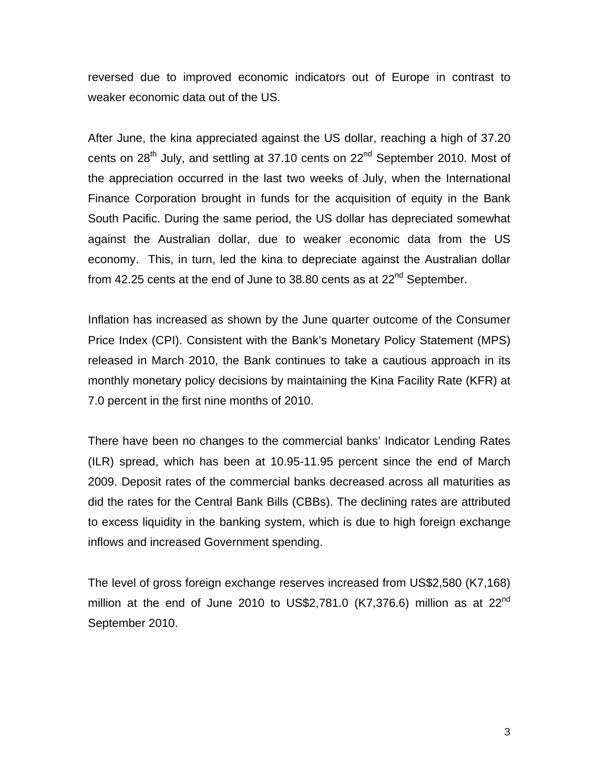reversed due to improved economic indicators out of Europe in contrast to weaker economic data out of the US.

After June, the kina appreciated against the US dollar, reaching a high of 37.20 cents on 28<sup>th</sup> July, and settling at 37.10 cents on 22<sup>nd</sup> September 2010. Most of the appreciation occurred in the last two weeks of July, when the International Finance Corporation brought in funds for the acquisition of equity in the Bank South Pacific. During the same period, the US dollar has depreciated somewhat against the Australian dollar, due to weaker economic data from the US economy. This, in turn, led the kina to depreciate against the Australian dollar from 42.25 cents at the end of June to  $38.80$  cents as at  $22<sup>nd</sup>$  September.

Inflation has increased as shown by the June quarter outcome of the Consumer Price Index (CPI). Consistent with the Bank's Monetary Policy Statement (MPS) released in March 2010, the Bank continues to take a cautious approach in its monthly monetary policy decisions by maintaining the Kina Facility Rate (KFR) at 7.0 percent in the first nine months of 2010.

There have been no changes to the commercial banks' Indicator Lending Rates (ILR) spread, which has been at 10.95-11.95 percent since the end of March 2009. Deposit rates of the commercial banks decreased across all maturities as did the rates for the Central Bank Bills (CBBs). The declining rates are attributed to excess liquidity in the banking system, which is due to high foreign exchange inflows and increased Government spending.

The level of gross foreign exchange reserves increased from US\$2,580 (K7,168) million at the end of June 2010 to US\$2,781.0 (K7,376.6) million as at  $22^{nd}$ September 2010.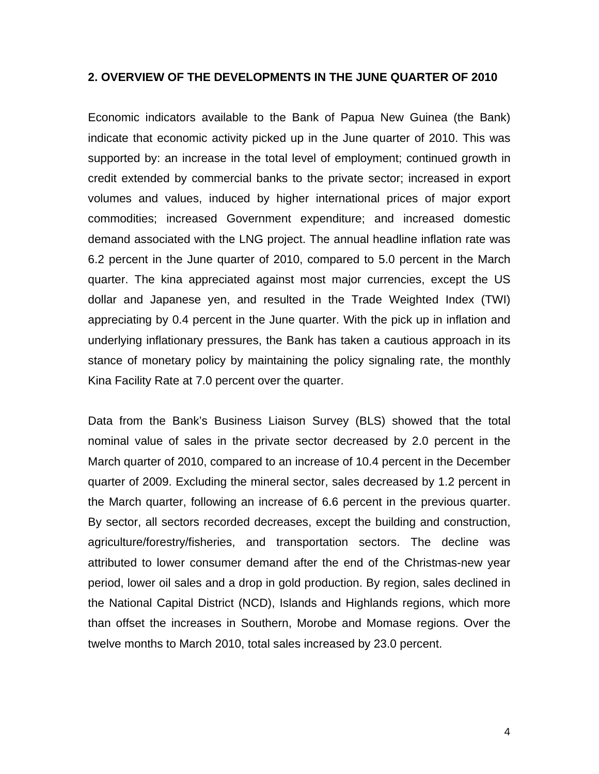## **2. OVERVIEW OF THE DEVELOPMENTS IN THE JUNE QUARTER OF 2010**

Economic indicators available to the Bank of Papua New Guinea (the Bank) indicate that economic activity picked up in the June quarter of 2010. This was supported by: an increase in the total level of employment; continued growth in credit extended by commercial banks to the private sector; increased in export volumes and values, induced by higher international prices of major export commodities; increased Government expenditure; and increased domestic demand associated with the LNG project. The annual headline inflation rate was 6.2 percent in the June quarter of 2010, compared to 5.0 percent in the March quarter. The kina appreciated against most major currencies, except the US dollar and Japanese yen, and resulted in the Trade Weighted Index (TWI) appreciating by 0.4 percent in the June quarter. With the pick up in inflation and underlying inflationary pressures, the Bank has taken a cautious approach in its stance of monetary policy by maintaining the policy signaling rate, the monthly Kina Facility Rate at 7.0 percent over the quarter.

Data from the Bank's Business Liaison Survey (BLS) showed that the total nominal value of sales in the private sector decreased by 2.0 percent in the March quarter of 2010, compared to an increase of 10.4 percent in the December quarter of 2009. Excluding the mineral sector, sales decreased by 1.2 percent in the March quarter, following an increase of 6.6 percent in the previous quarter. By sector, all sectors recorded decreases, except the building and construction, agriculture/forestry/fisheries, and transportation sectors. The decline was attributed to lower consumer demand after the end of the Christmas-new year period, lower oil sales and a drop in gold production. By region, sales declined in the National Capital District (NCD), Islands and Highlands regions, which more than offset the increases in Southern, Morobe and Momase regions. Over the twelve months to March 2010, total sales increased by 23.0 percent.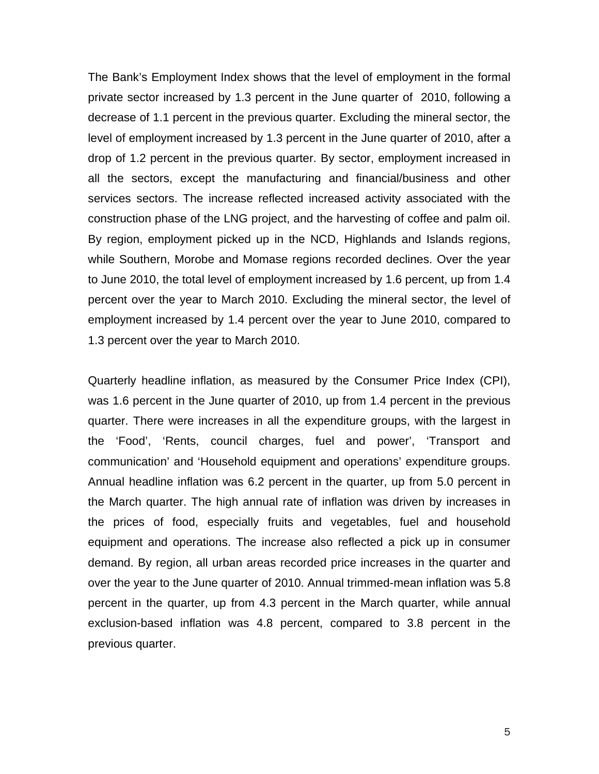The Bank's Employment Index shows that the level of employment in the formal private sector increased by 1.3 percent in the June quarter of 2010, following a decrease of 1.1 percent in the previous quarter. Excluding the mineral sector, the level of employment increased by 1.3 percent in the June quarter of 2010, after a drop of 1.2 percent in the previous quarter. By sector, employment increased in all the sectors, except the manufacturing and financial/business and other services sectors. The increase reflected increased activity associated with the construction phase of the LNG project, and the harvesting of coffee and palm oil. By region, employment picked up in the NCD, Highlands and Islands regions, while Southern, Morobe and Momase regions recorded declines. Over the year to June 2010, the total level of employment increased by 1.6 percent, up from 1.4 percent over the year to March 2010. Excluding the mineral sector, the level of employment increased by 1.4 percent over the year to June 2010, compared to 1.3 percent over the year to March 2010.

Quarterly headline inflation, as measured by the Consumer Price Index (CPI), was 1.6 percent in the June quarter of 2010, up from 1.4 percent in the previous quarter. There were increases in all the expenditure groups, with the largest in the 'Food', 'Rents, council charges, fuel and power', 'Transport and communication' and 'Household equipment and operations' expenditure groups. Annual headline inflation was 6.2 percent in the quarter, up from 5.0 percent in the March quarter. The high annual rate of inflation was driven by increases in the prices of food, especially fruits and vegetables, fuel and household equipment and operations. The increase also reflected a pick up in consumer demand. By region, all urban areas recorded price increases in the quarter and over the year to the June quarter of 2010. Annual trimmed-mean inflation was 5.8 percent in the quarter, up from 4.3 percent in the March quarter, while annual exclusion-based inflation was 4.8 percent, compared to 3.8 percent in the previous quarter.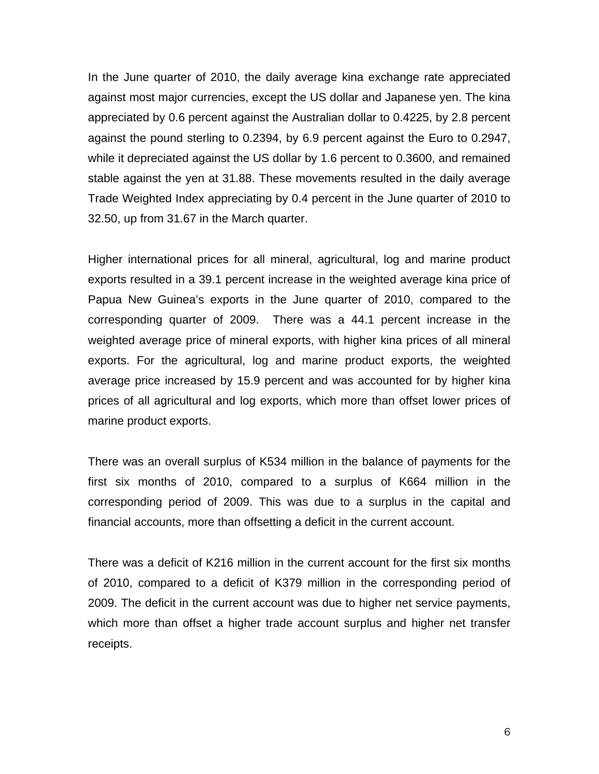In the June quarter of 2010, the daily average kina exchange rate appreciated against most major currencies, except the US dollar and Japanese yen. The kina appreciated by 0.6 percent against the Australian dollar to 0.4225, by 2.8 percent against the pound sterling to 0.2394, by 6.9 percent against the Euro to 0.2947, while it depreciated against the US dollar by 1.6 percent to 0.3600, and remained stable against the yen at 31.88. These movements resulted in the daily average Trade Weighted Index appreciating by 0.4 percent in the June quarter of 2010 to 32.50, up from 31.67 in the March quarter.

Higher international prices for all mineral, agricultural, log and marine product exports resulted in a 39.1 percent increase in the weighted average kina price of Papua New Guinea's exports in the June quarter of 2010, compared to the corresponding quarter of 2009. There was a 44.1 percent increase in the weighted average price of mineral exports, with higher kina prices of all mineral exports. For the agricultural, log and marine product exports, the weighted average price increased by 15.9 percent and was accounted for by higher kina prices of all agricultural and log exports, which more than offset lower prices of marine product exports.

There was an overall surplus of K534 million in the balance of payments for the first six months of 2010, compared to a surplus of K664 million in the corresponding period of 2009. This was due to a surplus in the capital and financial accounts, more than offsetting a deficit in the current account.

There was a deficit of K216 million in the current account for the first six months of 2010, compared to a deficit of K379 million in the corresponding period of 2009. The deficit in the current account was due to higher net service payments, which more than offset a higher trade account surplus and higher net transfer receipts.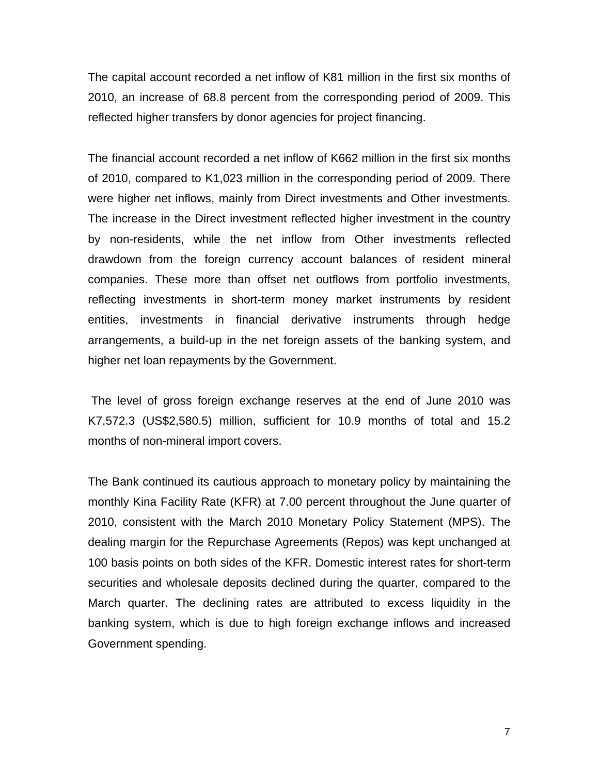The capital account recorded a net inflow of K81 million in the first six months of 2010, an increase of 68.8 percent from the corresponding period of 2009. This reflected higher transfers by donor agencies for project financing.

The financial account recorded a net inflow of K662 million in the first six months of 2010, compared to K1,023 million in the corresponding period of 2009. There were higher net inflows, mainly from Direct investments and Other investments. The increase in the Direct investment reflected higher investment in the country by non-residents, while the net inflow from Other investments reflected drawdown from the foreign currency account balances of resident mineral companies. These more than offset net outflows from portfolio investments, reflecting investments in short-term money market instruments by resident entities, investments in financial derivative instruments through hedge arrangements, a build-up in the net foreign assets of the banking system, and higher net loan repayments by the Government.

 The level of gross foreign exchange reserves at the end of June 2010 was K7,572.3 (US\$2,580.5) million, sufficient for 10.9 months of total and 15.2 months of non-mineral import covers.

The Bank continued its cautious approach to monetary policy by maintaining the monthly Kina Facility Rate (KFR) at 7.00 percent throughout the June quarter of 2010, consistent with the March 2010 Monetary Policy Statement (MPS). The dealing margin for the Repurchase Agreements (Repos) was kept unchanged at 100 basis points on both sides of the KFR. Domestic interest rates for short-term securities and wholesale deposits declined during the quarter, compared to the March quarter. The declining rates are attributed to excess liquidity in the banking system, which is due to high foreign exchange inflows and increased Government spending.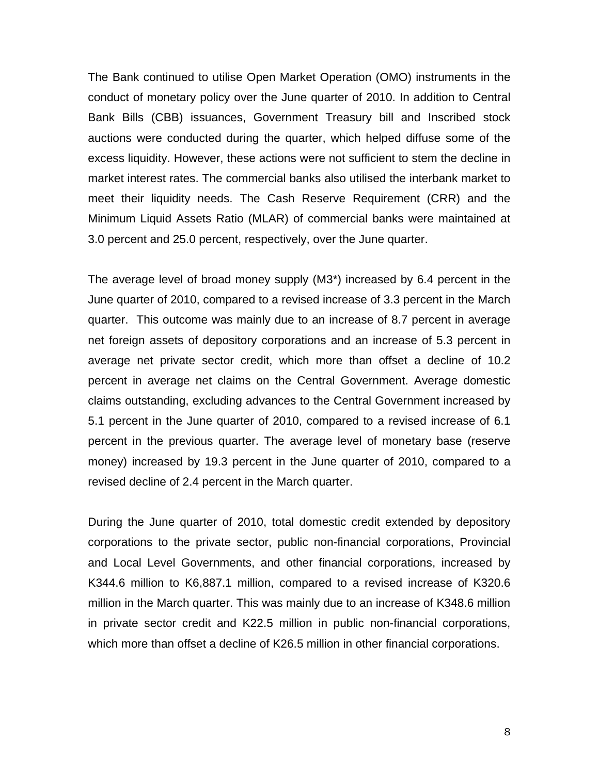The Bank continued to utilise Open Market Operation (OMO) instruments in the conduct of monetary policy over the June quarter of 2010. In addition to Central Bank Bills (CBB) issuances, Government Treasury bill and Inscribed stock auctions were conducted during the quarter, which helped diffuse some of the excess liquidity. However, these actions were not sufficient to stem the decline in market interest rates. The commercial banks also utilised the interbank market to meet their liquidity needs. The Cash Reserve Requirement (CRR) and the Minimum Liquid Assets Ratio (MLAR) of commercial banks were maintained at 3.0 percent and 25.0 percent, respectively, over the June quarter.

The average level of broad money supply (M3\*) increased by 6.4 percent in the June quarter of 2010, compared to a revised increase of 3.3 percent in the March quarter. This outcome was mainly due to an increase of 8.7 percent in average net foreign assets of depository corporations and an increase of 5.3 percent in average net private sector credit, which more than offset a decline of 10.2 percent in average net claims on the Central Government. Average domestic claims outstanding, excluding advances to the Central Government increased by 5.1 percent in the June quarter of 2010, compared to a revised increase of 6.1 percent in the previous quarter. The average level of monetary base (reserve money) increased by 19.3 percent in the June quarter of 2010, compared to a revised decline of 2.4 percent in the March quarter.

During the June quarter of 2010, total domestic credit extended by depository corporations to the private sector, public non-financial corporations, Provincial and Local Level Governments, and other financial corporations, increased by K344.6 million to K6,887.1 million, compared to a revised increase of K320.6 million in the March quarter. This was mainly due to an increase of K348.6 million in private sector credit and K22.5 million in public non-financial corporations, which more than offset a decline of K26.5 million in other financial corporations.